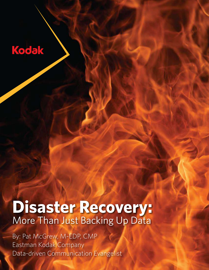## Kodak

# **Disaster Recovery:**  More Than Just Backing Up Data

By: Pat McGrew, M-EDP, CMP Eastman Kodak Company Data-driven Communication Evangelist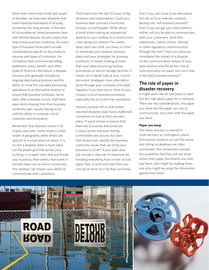More than a few times in the last couple of decades, we have seen disasters that have impacted businesses of all sizes, sometimes for long periods. In the best of circumstances, those businesses have well-defined disaster recovery plans that help ensure business continuity. For every type of business those plans include considerations specific to the products, services and types of customers. For companies that communicate billing, statement, policy, benefit, and other types of financial information, a disaster recovery plan generally includes an ongoing data backup protocol and the ability to move the core data processing operations to an alternative location to ensure that business continues. Some learn, after a disaster occurs, that there were items missing from their business continuity plan, usually having to do with the ability to continue critical customer communication.

Remember that disasters come in all shapes and sizes. Some impact a wide swath of geography while others are specific to a small physical radius. It is no less a disaster when a truck takes out the power grid that serves your building, or a water main fails and floods your business, than when a hurricane or tornado takes out an entire community. Any disaster can impact your ability to communicate with customers.

Think back over the last 20 years of big disasters and catastrophes. Could your business have survived a hurricane, tornado, or earthquake? What about a small plane making an unexpected landing on your rooftop or a construction crew taking out utilities? No matter what plans you think you have, it's time to reevaluate your disaster recovery plans and your strategies for business continuity. It means looking at more than your data processing backup procedures or secure storage facilities; it means an in-depth look at your current document strategies, how information flows through your company, and what happens if you lose one or more of your mission-critical business processes, especially the print and mail operations.

Industry surveys tell us that widely reported disasters lead many unaffected companies to look at their recovery plans. A quick review to ensure that there are processes and protocols in place leaves everyone feeling comfortable and secure, but does that review truly identify the business continuity issues that can bring your business to a halt? If your plan does not include a clear set of objectives for handling everything from e-mail, to lost paper files, to print and mail, then you may be at more of a risk than you know.

Even if you can move to an alternative hot site or to an internal company backup site, will business proceed? Even if you can get your data systems online, will you be able to communicate with your customers, send bills, statements, claims checks, refunds, or other regulatory communication through the mail? Have you seriously considered the impact of a disaster on the communication output of your data systems and the ad hoc role of communication on paper and via e-mail in the daily business process?

## **The role of paper in disaster recovery**

It might seem like an odd place to start, but let's talk about paper for a moment. There are two considerations: the paper you store and the paper you use to communicate. Let's start with the paper you store.

#### **Paper you keep**

Not every process is covered in most recovery or contingency plans. Documents stored in on-site file rooms and sitting on desktops are often overlooked. Few companies consider the possibility that they will not know where their paper documents are, who has them, who might be reading them, and who might be using the information gained from them.

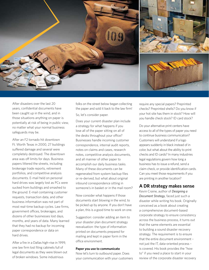

After disasters over the last 20 years, confidential documents have been caught up in the wind, and in those situations anything on paper is potentially at risk of being in public view, no matter what your normal business safeguards may be.

After an F2 tornado hit downtown Ft. Worth Texas in 2000, 27 buildings suffered damage and several were completely destroyed. The downtown area was off limits for days. Business papers littered the streets, including brokerage trade reports, retirement portfolios, and competitive analysis documents. E-mail held on personal hard drives was largely lost as PCs were sucked from buildings and smashed to the ground. E-mail containing customer requests, transaction data, and other business information was not part of most real-time backup cycles. Law firms, government offices, brokerages, and dozens of other businesses lost days, months, and years of data. Many learned that they had no backup for incoming paper correspondence or data on hard drives.

After a fire in a Dallas high-rise in 1999, one law firm lost filing cabinets full of legal documents as they were blown out of broken windows. Some industrious

folks on the street below began collecting the paper and sold it back to the law firm!

So, let's consider paper.

Does your current disaster plan include a strategy for what happens if you lose all of the paper sitting on all of the desks throughout your office? Businesses handle incoming customer correspondence, internal audit reports, notes on claims and cases, research notes, competitive analysis documents, and all manner of other paper to accomplish our daily business tasks. Many of these documents can be regenerated from system backup files or re-derived, but what about original inbound correspondence sitting in someone's in basket or in the mail room?

Now consider what happens if those documents start blowing in the wind, to be picked up by anyone. If you don't have a plan, this is a good time to work on one.

Suggestion: consider adding an item to your disaster plan document strategy reevaluation: the type of information printed on documents prepared for mailing and kept in paper form in the office environment.

#### **Paper you use to communicate**

Now let's turn to outbound paper. Does your communication with your customers require any special papers? Preprinted checks? Preprinted shells? Do you know if your hot site has them in stock? How will you handle check stock? ID card stock?

Do your alternative print centers have access to all of the types of paper you need to continue business communication? Customers will understand if a logo appears suddenly in black instead of in color, but what about the ability to print checks and ID cards? In many industries legal regulations govern how long a business has to issue a refund, send a claim check, or provide identification cards. Can you meet those requirements if you are printing in another location?

### **A DR strategy makes sense**

Kevin Craine, author of *Designing a Document Strategy*, faced just such a disaster while writing his book. Originally conceived as a book about creating a comprehensive document-based corporate strategy to ensure consistency across the business process, it turns out that the same elements are essential to building a sound disaster recovery strategy. The requirement is to ensure that the entire document environment – not just the IT, data-oriented process – is covered. His book provides the "how to" if you need a place to start in your review of the corporate disaster recovery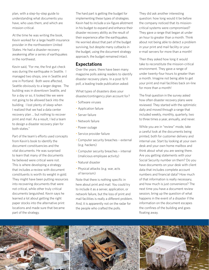plan, with a step-by-step guide to understanding what documents you have, who uses them, and which are mission-critical.

At the time he was writing the book, Kevin worked for a large health insurance provider in the northwestern United States. He had a disaster recovery awakening after a series of earthquakes in the northwest.

Kevin said, "For me, the first gut check was during the earthquake in Seattle. I managed two shops, one in Seattle and one in Portland. Both were affected, Seattle obviously to a larger degree. The building was in downtown Seattle, and for a day or so, it looked like we were not going to be allowed back into the building. I lost plenty of sleep when I realized that we had a data center recovery plan ... but nothing to recover print and mail. As a result, I led a team to design a disaster recovery plan for both states."

Part of the team's efforts used concepts from Kevin's book to identify the document constituencies and the vital documents. He was surprised to learn that many of the documents he believed were critical were not. This is where developing a strategy that includes a review with document constituents is worth its weight in gold. They might have been putting resources into recovering documents that were not critical, while other truly critical documents languished. Kevin says he learned a lot about getting the right paper stocks into the alternative print locations and made sure that became part of the strategy.

The hard part is getting the budget for implementing these types of strategies. Kevin had to include a six-figure allotment in his budget to expand and enhance their disaster recovery ability as the result of their experience after the earthquakes. He worried about that part of the budget surviving, but despite many cutbacks in the budget, using the document strategy approach, the budget remained intact.

## **Expectations**

Over the years. there have been many magazine polls asking readers to identify disaster recovery plans. In a post 9/11 poll, a leading trade publication asked:

What types of disasters does your disaster/contingency plan account for?

- Software viruses
- Application failure
- Server failure
- Network failure
- Power outage
- Service provider failure
- Computer security breaches external (e.g. hackers)
- Computer security breaches internal (malicious employee activity)
- Natural disaster
- Physical attacks (e.g. war, acts of terrorism)

Note that there is nothing specific in here about print and mail. You could try to include it as a server, application, or network failure, but the loss of print and mail facilities is really a different problem. And, it is apparently not on the radar for the people who crafted the polls.

They did ask another interesting question: how long would it be before the company noticed that its missioncritical systems were compromised? They gave a range that began at under an hour to greater than a month. Think about not being able to detect a problem in your print and mail facility or your e-mail servers for more than a month!

Then they asked how long it would take to reconstitute the mission-critical environment. They gave a range of under twenty-four hours to greater than a month. Imagine not being able to get your print and mail facilities back on-line for more than a month!

The final question in the survey asked how often disaster recovery plans were reviewed. They started with the optimistic daily and moved through a range that included weekly, monthly, quarterly, two to three times a year, annually, and never.

While you are in "review" mode, take a careful look at the documents being printed, both for customer delivery and internal use. Start by looking at your own desk and your own home mailbox and think about what you are seeing there. Are you getting statements with your Social Security number on them? Do you have documents on your desk with client data that includes complete account numbers and financial data? How much of that information is really necessary, and how much is just convenience? The next time you have a document review session, bring up the question of what happens in the event of a disaster if the information on the document escapes the confines of the building and goes floating away.

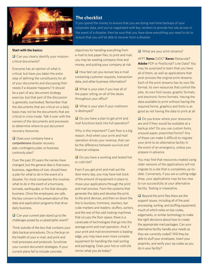

## **The checklist**

If you spend the money to ensure that you are doing real-time backups of your corporate data, and you've negotiated with key vendors to provide hot site access in the event of a disaster, then be sure that you have done everything you need to do to ensure that you will be able to recover from a disaster.

#### **Start with the basics:**

 $\blacksquare$  Can you clearly identify your missioncritical documents?

Everyone has an opinion of what is critical, but have you taken the extra step of defining the constituents for all of your documents and discussing their needs if a disaster happens? It should be a part of any document strategy exercise, but that part of the discussion is generally overlooked. Remember that the documents that are critical on a daily basis may not be the documents that are critical in crisis mode. Talk it over with the owners of the documents and processes to determine where to put document recovery resources.

 $\blacksquare$  Does your company have a *comprehensive* disaster recovery plan, contingency plan, or business continuity plan?

Over the past 20 years the names have changed, but the general idea is that every business, regardless of size, should have a plan for what to do in the event of a disaster. For most companies this involves what to do in the event of a hurricane, tornado, earthquake, or fire that disrupts business. Once the employees are safe, the key concern is the preservation of the data and application programs that drive daily business.

 $\blacksquare$  Can your current plan stand up to the challenges posed by a catastrophic event?

Think outside of the box that contains your data backup procedures. Do a checkup on the health of your e-mail, and print and mail processes and protocols. Scrutinize your current document strategies. If your current plans fail to include concrete

objectives for handling everything from e-mail to lost paper files, to print and mail, you may be wasting company time and money, and putting your company at risk.

 $\blacksquare$  How fast can you recover key e-mail containing customer requests, transaction data, and other business information?

 $\blacksquare$  What is your plan if you lose all of the paper sitting on all of the desks throughout your office?

 $\blacksquare$  What is your plan if your mailroom is destroyed?

 $\Box$  Do you have a plan to get print and mail functions back into full operation?

Why is this important? Cash flow is a big reason. And when your print and mail operation drives your revenue, that can be the difference between survival and financial collapse.

 $\blacksquare$  Do you have a working and tested hot or cold site?

Even if you get print and mail out the door every day, you may have lost track of the amount of equipment in place to move your applications through the print and mail process. From the systems that generate the data and develop the print, to the print devices, and then on down the line to bursters, trimmers, stackers, bar code markers and readers, stuffers, sorters, and the rest of the odd-looking machines that occupy the floor space, there is a cavalcade of technologies that go into the average print and mail operation. And, if your print and mail environment is leading edge, you may have even more complex equipment for handling the mail sorting and packaging. Does your hot or cold site mirror what you do today?

#### $\blacksquare$  What are your print streams?

AFP? **Xerox** DJDE? **Xerox** Metacode? **Adobe** PDF or PostScript? Line Data? You may be surprised to learn that you have all of them, as well as applications that post-process the original print streams. Each of the print streams has its own file format, its own resources that control the jobs, its own font issues, graphic formats, and electronic forms formats. Having the data available to print without having the required forms, graphics and fonts is as good as not having the data to print at all.

 $\blacksquare$  Do you know where your resources are and if they would be available at a backup site? Do you use custom fonts, unusual paper, preprinted forms? Any of these can make it difficult to migrate your print to an alternative facility in the event of an emergency, unless you prepare in advance.

You may find that resources created using older versions of the applications will not migrate to a site that is completely up-todate. Conversely, if you are a cutting-edge shop, your applications may be too new to run successfully at your alternative facility. Testing is imperative.

 $\blacksquare$  Beyond the print files there are the support issues, including all of the post processing, sorting, and stuffing equipment; much of which relies on bar codes, edgemarks, or similar technology to make the right decisions about how to create the appropriate mail packages. Can your alternative facility handle your needs as they are currently coded? Will they be able to stuff your envelopes, insert your preprints, and verify your zip codes as you do in your facility?